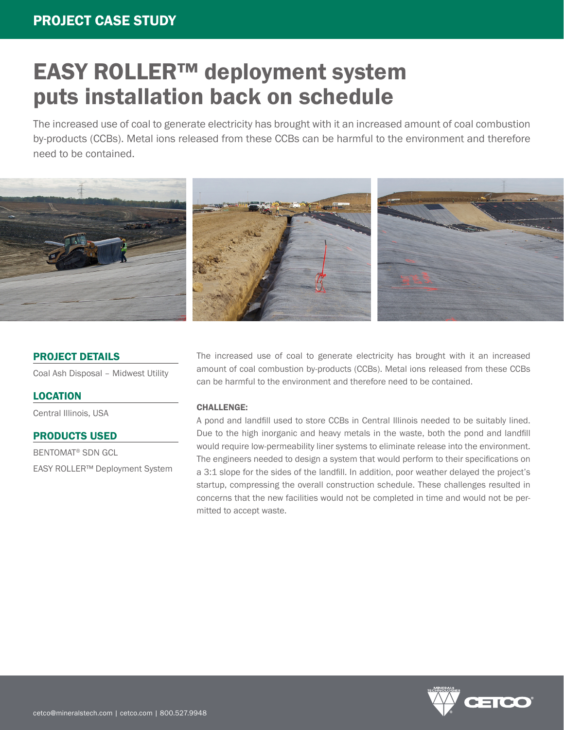### PROJECT CASE STUDY

# EASY ROLLER™ deployment system puts installation back on schedule

The increased use of coal to generate electricity has brought with it an increased amount of coal combustion by-products (CCBs). Metal ions released from these CCBs can be harmful to the environment and therefore need to be contained.



#### PROJECT DETAILS

Coal Ash Disposal – Midwest Utility

#### **LOCATION**

Central Illinois, USA

#### PRODUCTS USED

BENTOMAT® SDN GCL EASY ROLLER™ Deployment System The increased use of coal to generate electricity has brought with it an increased amount of coal combustion by-products (CCBs). Metal ions released from these CCBs can be harmful to the environment and therefore need to be contained.

#### CHALLENGE:

A pond and landfill used to store CCBs in Central Illinois needed to be suitably lined. Due to the high inorganic and heavy metals in the waste, both the pond and landfill would require low-permeability liner systems to eliminate release into the environment. The engineers needed to design a system that would perform to their specifications on a 3:1 slope for the sides of the landfill. In addition, poor weather delayed the project's startup, compressing the overall construction schedule. These challenges resulted in concerns that the new facilities would not be completed in time and would not be permitted to accept waste.